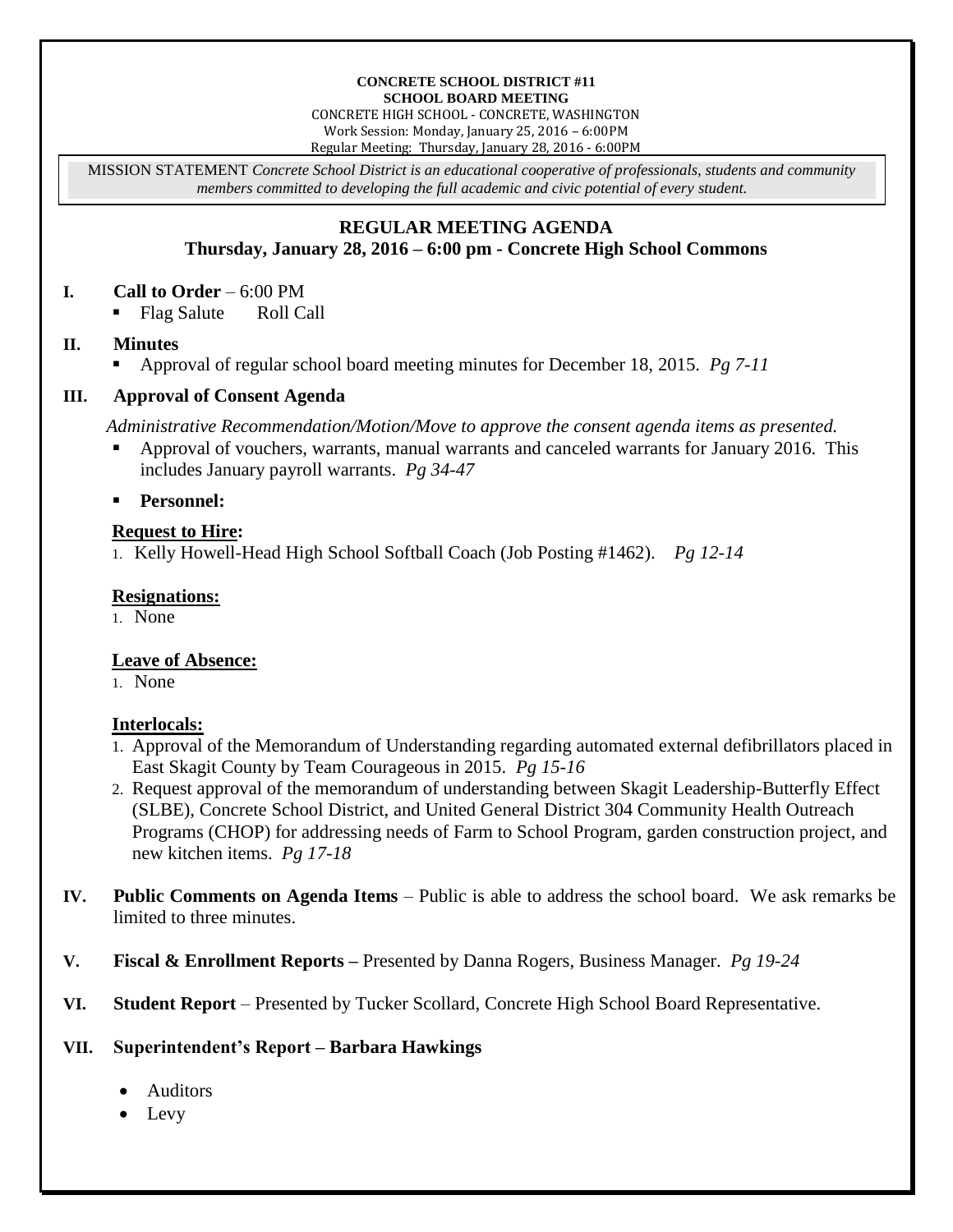#### **CONCRETE SCHOOL DISTRICT #11 SCHOOL BOARD MEETING**

CONCRETE HIGH SCHOOL - CONCRETE, WASHINGTON Work Session: Monday, January 25, 2016 – 6:00PM Regular Meeting: Thursday, January 28, 2016 - 6:00PM

MISSION STATEMENT *Concrete School District is an educational cooperative of professionals, students and community members committed to developing the full academic and civic potential of every student.*

# **REGULAR MEETING AGENDA Thursday, January 28, 2016 – 6:00 pm - Concrete High School Commons**

### **I. Call to Order** – 6:00 PM

Flag Salute Roll Call

### **II. Minutes**

Approval of regular school board meeting minutes for December 18, 2015. *Pg 7-11*

### **III. Approval of Consent Agenda**

*Administrative Recommendation/Motion/Move to approve the consent agenda items as presented.*

 Approval of vouchers, warrants, manual warrants and canceled warrants for January 2016. This includes January payroll warrants. *Pg 34-47*

**Personnel:**

# **Request to Hire:**

1. Kelly Howell-Head High School Softball Coach (Job Posting #1462). *Pg 12-14*

# **Resignations:**

1. None

# **Leave of Absence:**

1. None

# **Interlocals:**

- 1. Approval of the Memorandum of Understanding regarding automated external defibrillators placed in East Skagit County by Team Courageous in 2015. *Pg 15-16*
- 2. Request approval of the memorandum of understanding between Skagit Leadership-Butterfly Effect (SLBE), Concrete School District, and United General District 304 Community Health Outreach Programs (CHOP) for addressing needs of Farm to School Program, garden construction project, and new kitchen items. *Pg 17-18*
- **IV. Public Comments on Agenda Items** Public is able to address the school board. We ask remarks be limited to three minutes.
- **V. Fiscal & Enrollment Reports –** Presented by Danna Rogers, Business Manager. *Pg 19-24*
- **VI. Student Report** Presented by Tucker Scollard, Concrete High School Board Representative.

# **VII. Superintendent's Report – Barbara Hawkings**

- Auditors
- Levy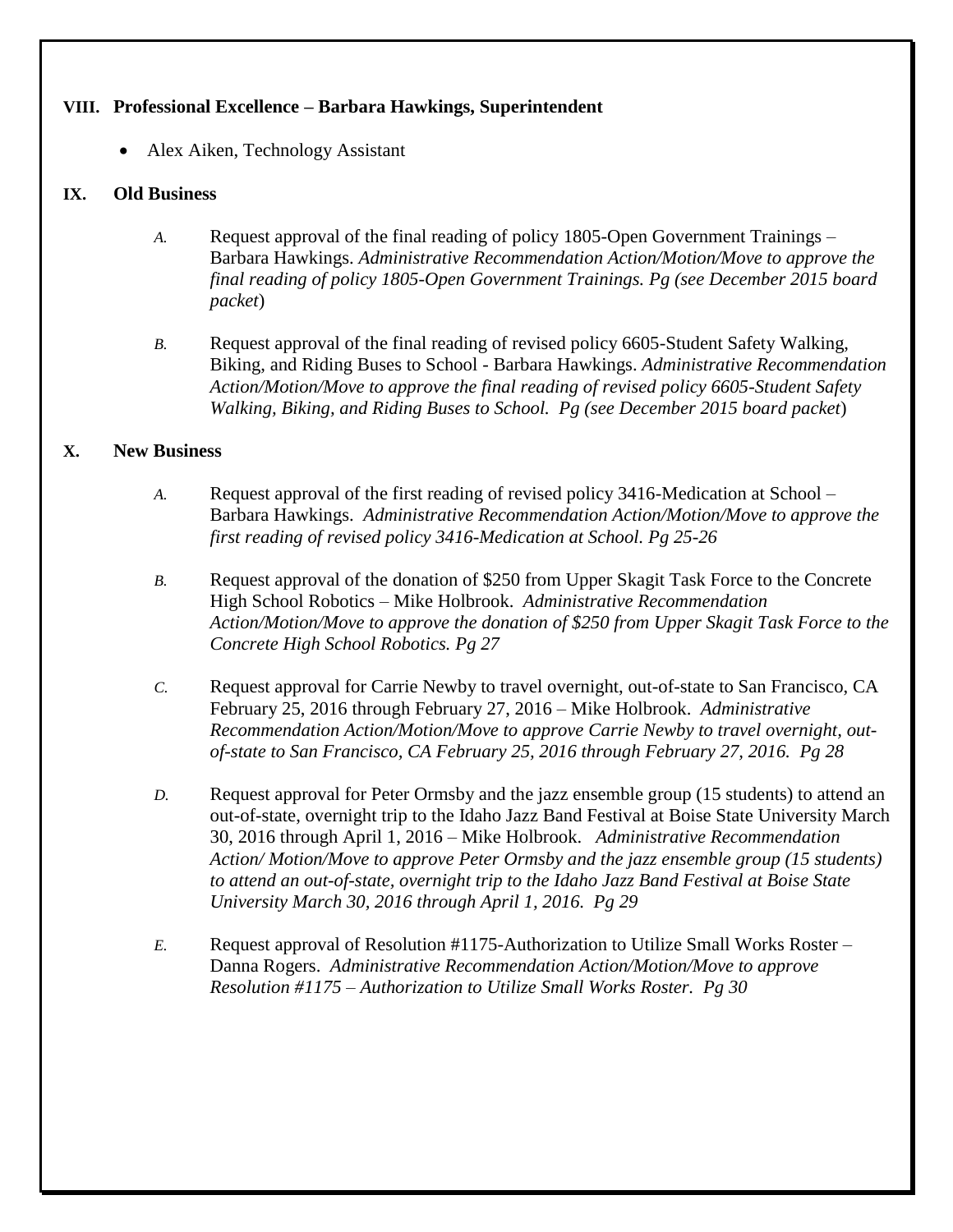### **VIII. Professional Excellence – Barbara Hawkings, Superintendent**

Alex Aiken, Technology Assistant

### **IX. Old Business**

- *A.* Request approval of the final reading of policy 1805-Open Government Trainings Barbara Hawkings. *Administrative Recommendation Action/Motion/Move to approve the final reading of policy 1805-Open Government Trainings. Pg (see December 2015 board packet*)
- *B.* Request approval of the final reading of revised policy 6605-Student Safety Walking, Biking, and Riding Buses to School - Barbara Hawkings. *Administrative Recommendation Action/Motion/Move to approve the final reading of revised policy 6605-Student Safety Walking, Biking, and Riding Buses to School. Pg (see December 2015 board packet*)

# **X. New Business**

- *A.* Request approval of the first reading of revised policy 3416-Medication at School Barbara Hawkings. *Administrative Recommendation Action/Motion/Move to approve the first reading of revised policy 3416-Medication at School. Pg 25-26*
- *B.* Request approval of the donation of \$250 from Upper Skagit Task Force to the Concrete High School Robotics – Mike Holbrook. *Administrative Recommendation Action/Motion/Move to approve the donation of \$250 from Upper Skagit Task Force to the Concrete High School Robotics. Pg 27*
- *C.* Request approval for Carrie Newby to travel overnight, out-of-state to San Francisco, CA February 25, 2016 through February 27, 2016 – Mike Holbrook. *Administrative Recommendation Action/Motion/Move to approve Carrie Newby to travel overnight, outof-state to San Francisco, CA February 25, 2016 through February 27, 2016. Pg 28*
- *D.* Request approval for Peter Ormsby and the jazz ensemble group (15 students) to attend an out-of-state, overnight trip to the Idaho Jazz Band Festival at Boise State University March 30, 2016 through April 1, 2016 – Mike Holbrook. *Administrative Recommendation Action/ Motion/Move to approve Peter Ormsby and the jazz ensemble group (15 students) to attend an out-of-state, overnight trip to the Idaho Jazz Band Festival at Boise State University March 30, 2016 through April 1, 2016. Pg 29*
- *E.* Request approval of Resolution #1175-Authorization to Utilize Small Works Roster Danna Rogers. *Administrative Recommendation Action/Motion/Move to approve Resolution #1175 – Authorization to Utilize Small Works Roster. Pg 30*